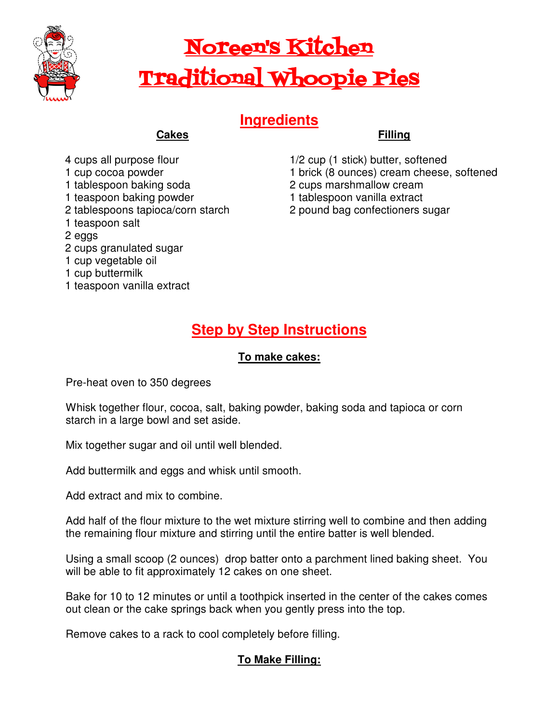

# Noreen's Kitchen Traditional Whoopie Pies

## **Ingredients**

## **Cakes**

- 4 cups all purpose flour
- 1 cup cocoa powder
- 1 tablespoon baking soda
- 1 teaspoon baking powder
- 2 tablespoons tapioca/corn starch
- 1 teaspoon salt
- 2 eggs
- 2 cups granulated sugar
- 1 cup vegetable oil
- 1 cup buttermilk
- 1 teaspoon vanilla extract

#### **Filling**

- 1/2 cup (1 stick) butter, softened 1 brick (8 ounces) cream cheese, softened
- 2 cups marshmallow cream
- 1 tablespoon vanilla extract
- 2 pound bag confectioners sugar

## **Step by Step Instructions**

#### **To make cakes:**

Pre-heat oven to 350 degrees

Whisk together flour, cocoa, salt, baking powder, baking soda and tapioca or corn starch in a large bowl and set aside.

Mix together sugar and oil until well blended.

Add buttermilk and eggs and whisk until smooth.

Add extract and mix to combine.

Add half of the flour mixture to the wet mixture stirring well to combine and then adding the remaining flour mixture and stirring until the entire batter is well blended.

Using a small scoop (2 ounces) drop batter onto a parchment lined baking sheet. You will be able to fit approximately 12 cakes on one sheet.

Bake for 10 to 12 minutes or until a toothpick inserted in the center of the cakes comes out clean or the cake springs back when you gently press into the top.

Remove cakes to a rack to cool completely before filling.

### **To Make Filling:**